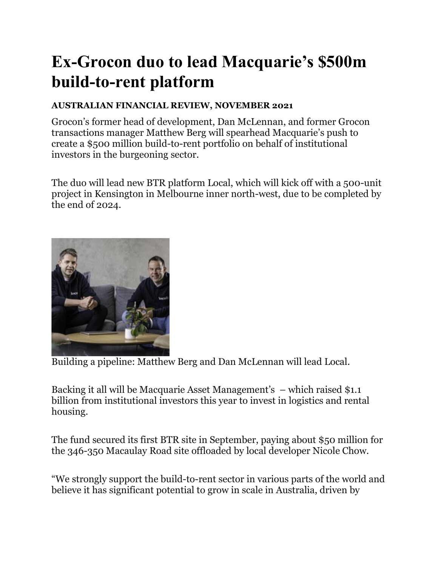## **Ex-Grocon duo to lead Macquarie's \$500m build-to-rent platform**

## **AUSTRALIAN FINANCIAL REVIEW, NOVEMBER 2021**

Grocon's former head of development, Dan McLennan, and former Grocon transactions manager Matthew Berg will spearhead Macquarie's push to create a \$500 million build-to-rent portfolio on behalf of institutional investors in the burgeoning sector.

The duo will lead new BTR platform Local, which will kick off with a 500-unit project in Kensington in Melbourne inner north-west, due to be completed by the end of 2024.



Building a pipeline: Matthew Berg and Dan McLennan will lead Local.

Backing it all will be Macquarie Asset Management's – which raised \$1.1 billion from institutional investors this year to invest in logistics and rental housing.

The fund secured its first BTR site in September, paying about \$50 million for the 346-350 Macaulay Road site offloaded by local developer Nicole Chow.

"We strongly support the build-to-rent sector in various parts of the world and believe it has significant potential to grow in scale in Australia, driven by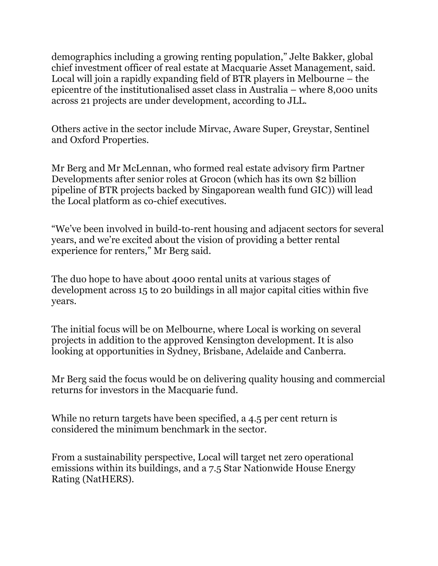demographics including a growing renting population," Jelte Bakker, global chief investment officer of real estate at Macquarie Asset Management, said. Local will join a rapidly expanding field of BTR players in Melbourne – the epicentre of the institutionalised asset class in Australia – where 8,000 units across 21 projects are under development, according to JLL.

Others active in the sector include Mirvac, Aware Super, Greystar, Sentinel and Oxford Properties.

Mr Berg and Mr McLennan, who formed real estate advisory firm Partner Developments after senior roles at Grocon (which has its own \$2 billion pipeline of BTR projects backed by Singaporean wealth fund GIC)) will lead the Local platform as co-chief executives.

"We've been involved in build-to-rent housing and adjacent sectors for several years, and we're excited about the vision of providing a better rental experience for renters," Mr Berg said.

The duo hope to have about 4000 rental units at various stages of development across 15 to 20 buildings in all major capital cities within five years.

The initial focus will be on Melbourne, where Local is working on several projects in addition to the approved Kensington development. It is also looking at opportunities in Sydney, Brisbane, Adelaide and Canberra.

Mr Berg said the focus would be on delivering quality housing and commercial returns for investors in the Macquarie fund.

While no return targets have been specified, a 4.5 per cent return is considered the minimum benchmark in the sector.

From a sustainability perspective, Local will target net zero operational emissions within its buildings, and a 7.5 Star Nationwide House Energy Rating (NatHERS).